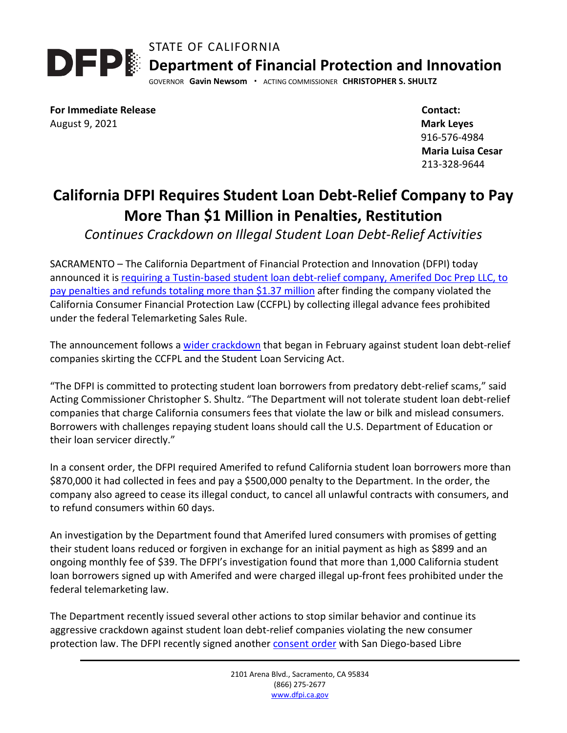STATE OF CALIFORNIA



GOVERNOR **Gavin Newsom ·** ACTING COMMISSIONER **CHRISTOPHER S. SHULTZ**

**For Immediate Release** August 9, 2021

 **Contact: Mark Leyes** 916-576-4984  **Maria Luisa Cesar** 213-328-9644

## **California DFPI Requires Student Loan Debt-Relief Company to Pay More Than \$1 Million in Penalties, Restitution**

*Continues Crackdown on Illegal Student Loan Debt-Relief Activities* 

SACRAMENTO – The California Department of Financial Protection and Innovation (DFPI) today announced it is requiring a Tustin-based student [loan debt-relief company, Amerifed Doc Prep LLC, to](https://dfpi.ca.gov/wp-content/uploads/sites/337/2021/08/Amerifed-Doc-Prep-LLC-Consent-Order.pdf)  [pay penalties and refunds](https://dfpi.ca.gov/wp-content/uploads/sites/337/2021/08/Amerifed-Doc-Prep-LLC-Consent-Order.pdf) totaling more than \$1.37 million after finding the company violated the California Consumer Financial Protection Law (CCFPL) by collecting illegal advance fees prohibited under the federal Telemarketing Sales Rule.

The announcement follows a [wider crackdown](https://dfpi.ca.gov/2021/02/03/dfpi-launches-investigation-into-student-loan-debt-relief-companies-and-takes-action-against-optima-advocates/) that began in February against student loan debt-relief companies skirting the CCFPL and the Student Loan Servicing Act.

"The DFPI is committed to protecting student loan borrowers from predatory debt-relief scams," said Acting Commissioner Christopher S. Shultz. "The Department will not tolerate student loan debt-relief companies that charge California consumers fees that violate the law or bilk and mislead consumers. Borrowers with challenges repaying student loans should call the U.S. Department of Education or their loan servicer directly."

In a consent order, the DFPI required Amerifed to refund California student loan borrowers more than \$870,000 it had collected in fees and pay a \$500,000 penalty to the Department. In the order, the company also agreed to cease its illegal conduct, to cancel all unlawful contracts with consumers, and to refund consumers within 60 days.

An investigation by the Department found that Amerifed lured consumers with promises of getting their student loans reduced or forgiven in exchange for an initial payment as high as \$899 and an ongoing monthly fee of \$39. The DFPI's investigation found that more than 1,000 California student loan borrowers signed up with Amerifed and were charged illegal up-front fees prohibited under the federal telemarketing law.

The Department recently issued several other actions to stop similar behavior and continue its aggressive crackdown against student loan debt-relief companies violating the new consumer protection law. The DFPI recently signed another [consent order](https://dfpi.ca.gov/wp-content/uploads/sites/337/2021/07/Consent-Order-Libre-Technology-Inc..pdf) with San Diego-based Libre